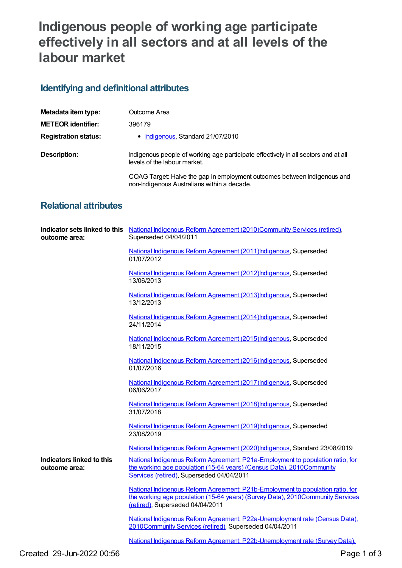## **Indigenous people of working age participate effectively in all sectors and at all levels of the labour market**

## **Identifying and definitional attributes**

| Metadata item type:         | Outcome Area                                                                                                            |
|-----------------------------|-------------------------------------------------------------------------------------------------------------------------|
| <b>METEOR identifier:</b>   | 396179                                                                                                                  |
| <b>Registration status:</b> | • Indigenous, Standard 21/07/2010                                                                                       |
| Description:                | Indigenous people of working age participate effectively in all sectors and at all<br>levels of the labour market.      |
|                             | COAG Target: Halve the gap in employment outcomes between Indigenous and<br>non-Indigenous Australians within a decade. |

## **Relational attributes**

| outcome area:                              | Indicator sets linked to this National Indigenous Reform Agreement (2010)Community Services (retired),<br>Superseded 04/04/2011                                                                      |
|--------------------------------------------|------------------------------------------------------------------------------------------------------------------------------------------------------------------------------------------------------|
|                                            | National Indigenous Reform Agreement (2011) Indigenous, Superseded<br>01/07/2012                                                                                                                     |
|                                            | National Indigenous Reform Agreement (2012) Indigenous, Superseded<br>13/06/2013                                                                                                                     |
|                                            | National Indigenous Reform Agreement (2013) Indigenous, Superseded<br>13/12/2013                                                                                                                     |
|                                            | National Indigenous Reform Agreement (2014) Indigenous, Superseded<br>24/11/2014                                                                                                                     |
|                                            | National Indigenous Reform Agreement (2015) Indigenous, Superseded<br>18/11/2015                                                                                                                     |
|                                            | National Indigenous Reform Agreement (2016) Indigenous, Superseded<br>01/07/2016                                                                                                                     |
|                                            | National Indigenous Reform Agreement (2017) Indigenous, Superseded<br>06/06/2017                                                                                                                     |
|                                            | National Indigenous Reform Agreement (2018) Indigenous, Superseded<br>31/07/2018                                                                                                                     |
|                                            | National Indigenous Reform Agreement (2019) Indigenous, Superseded<br>23/08/2019                                                                                                                     |
|                                            | National Indigenous Reform Agreement (2020)Indigenous, Standard 23/08/2019                                                                                                                           |
| Indicators linked to this<br>outcome area: | National Indigenous Reform Agreement: P21a-Employment to population ratio, for<br>the working age population (15-64 years) (Census Data), 2010Community<br>Services (retired), Superseded 04/04/2011 |
|                                            | National Indigenous Reform Agreement: P21b-Employment to population ratio, for<br>the working age population (15-64 years) (Survey Data), 2010Community Services<br>(retired), Superseded 04/04/2011 |
|                                            | National Indigenous Reform Agreement: P22a-Unemployment rate (Census Data),<br>2010Community Services (retired), Superseded 04/04/2011                                                               |
|                                            | National Indigenous Reform Agreement: P22b-Unemployment rate (Survey Data).                                                                                                                          |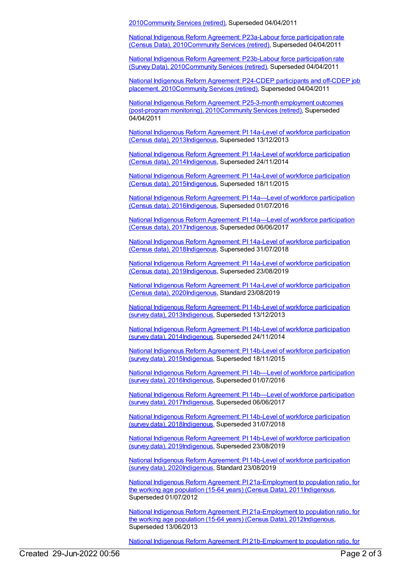201[0Community](https://meteor.aihw.gov.au/RegistrationAuthority/1) Services (retired), Superseded 04/04/2011

National Indigenous Reform Agreement: P23a-Labour force participation rate (Census Data), [2010Community](https://meteor.aihw.gov.au/content/396632) Services (retired), Superseded 04/04/2011

National Indigenous Reform Agreement: P23b-Labour force participation rate (Survey Data), [2010Community](https://meteor.aihw.gov.au/content/396912) Services (retired), Superseded 04/04/2011

National Indigenous Reform Agreement: P24-CDEP participants and off-CDEP job placement, [2010Community](https://meteor.aihw.gov.au/content/396637) Services (retired), Superseded 04/04/2011

National Indigenous Reform Agreement: P25-3-month employment outcomes (post-program monitoring), [2010Community](https://meteor.aihw.gov.au/content/396640) Services (retired), Superseded 04/04/2011

National Indigenous Reform Agreement: PI 14a-Level of workforce participation (Census data), [2013Indigenous,](https://meteor.aihw.gov.au/content/484369) Superseded 13/12/2013

National Indigenous Reform Agreement: PI 14a-Level of workforce participation (Census data), [2014Indigenous,](https://meteor.aihw.gov.au/content/525776) Superseded 24/11/2014

National Indigenous Reform Agreement: PI 14a-Level of workforce participation (Census data), [2015Indigenous,](https://meteor.aihw.gov.au/content/579104) Superseded 18/11/2015

National Indigenous Reform Agreement: PI 14a—Level of workforce participation (Census data), [2016Indigenous,](https://meteor.aihw.gov.au/content/611201) Superseded 01/07/2016

National Indigenous Reform Agreement: PI 14a-Level of workforce participation (Census data), [2017](https://meteor.aihw.gov.au/content/645412)[Indigenous](https://meteor.aihw.gov.au/RegistrationAuthority/6)[,](https://meteor.aihw.gov.au/content/645412) Superseded 06/06/2017

National Indigenous Reform Agreement: PI 14a-Level of workforce participation (Census data), [2018Indigenous,](https://meteor.aihw.gov.au/content/668662) Superseded 31/07/2018

National Indigenous Reform Agreement: PI 14a-Level of workforce participation (Census data), [2019Indigenous,](https://meteor.aihw.gov.au/content/699471) Superseded 23/08/2019

National Indigenous Reform Agreement: PI 14a-Level of workforce participation (Census data), [2020Indigenous,](https://meteor.aihw.gov.au/content/718500) Standard 23/08/2019

National Indigenous Reform Agreement: PI 14b-Level of workforce participation (survey data), [2013Indigenous,](https://meteor.aihw.gov.au/content/484372) Superseded 13/12/2013

National Indigenous Reform Agreement: PI 14b-Level of workforce participation (survey data), [2014](https://meteor.aihw.gov.au/content/525761)[Indigenous](https://meteor.aihw.gov.au/RegistrationAuthority/6)[,](https://meteor.aihw.gov.au/content/525761) Superseded 24/11/2014

National Indigenous Reform Agreement: PI 14b-Level of workforce participation (survey data), [2015Indigenous,](https://meteor.aihw.gov.au/content/579106) Superseded 18/11/2015

National Indigenous Reform Agreement: PI 14b—Level of workforce participation (survey data), [2016Indigenous,](https://meteor.aihw.gov.au/content/611204) Superseded 01/07/2016

National Indigenous Reform Agreement: PI 14b—Level of workforce participation (survey data), [2017Indigenous,](https://meteor.aihw.gov.au/content/645414) Superseded 06/06/2017

National Indigenous Reform Agreement: PI 14b-Level of workforce participation (survey data), [2018](https://meteor.aihw.gov.au/content/668657)[Indigenous](https://meteor.aihw.gov.au/RegistrationAuthority/6)[,](https://meteor.aihw.gov.au/content/668657) Superseded 31/07/2018

National Indigenous Reform Agreement: PI 14b-Level of workforce participation (survey data), [2019Indigenous,](https://meteor.aihw.gov.au/content/699473) Superseded 23/08/2019

National Indigenous Reform Agreement: PI 14b-Level of workforce participation (survey data), [2020Indigenous,](https://meteor.aihw.gov.au/content/718502) Standard 23/08/2019

National Indigenous Reform Agreement: PI [21a-Employment](https://meteor.aihw.gov.au/content/425793) to population ratio, for the working age population (15-64 years) (Census Data), 201[1Indigenous](https://meteor.aihw.gov.au/RegistrationAuthority/6), Superseded 01/07/2012

National Indigenous Reform Agreement: PI [21a-Employment](https://meteor.aihw.gov.au/content/438695) to population ratio, for the working age population (15-64 years) (Census Data), 201[2Indigenous](https://meteor.aihw.gov.au/RegistrationAuthority/6), Superseded 13/06/2013

National Indigenous Reform Agreement: PI [21b-Employment](https://meteor.aihw.gov.au/content/425795) to population ratio, for